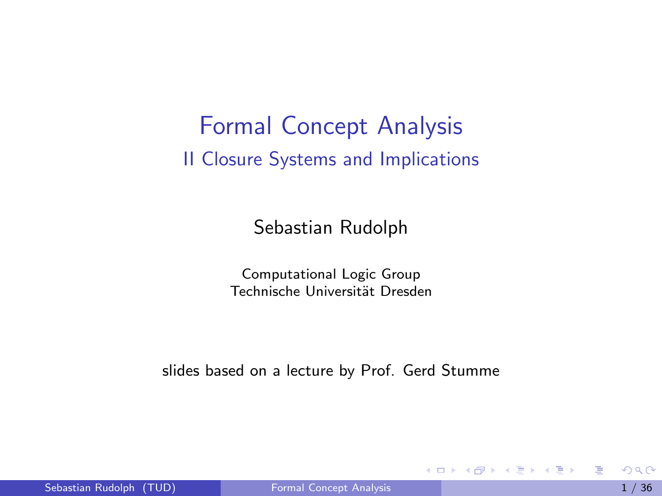#### Formal Concept Analysis II Closure Systems and Implications

Sebastian Rudolph

Computational Logic Group Technische Universität Dresden

slides based on a lecture by Prof. Gerd Stumme

<span id="page-0-0"></span>**ADA 4 B A 4 B A** 

4 日下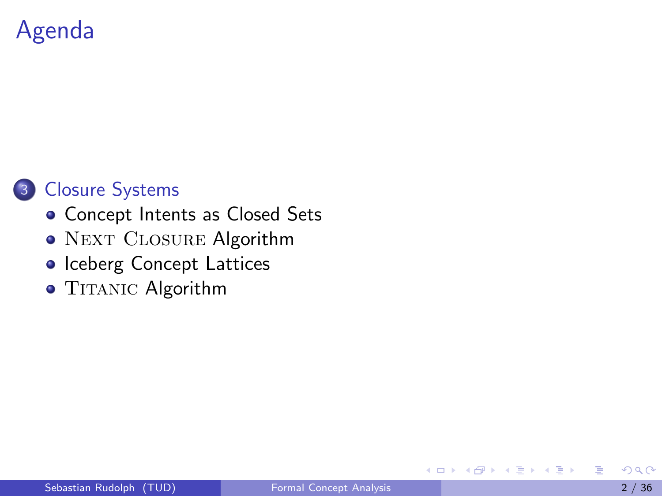# Agenda



- [Concept Intents as Closed Sets](#page-3-0)
- o NEXT CLOSURE Algorithm
- o [Iceberg Concept Lattices](#page-10-0)
- TITANIC [Algorithm](#page-15-0)

<span id="page-1-0"></span>÷

ミメスミメ

4 0 8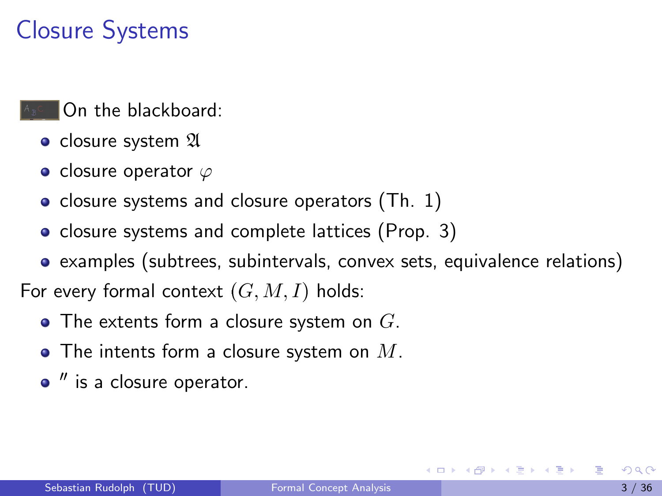# Closure Systems

- On the blackboard:
	- closure system  $\mathfrak A$
	- closure operator  $\varphi$
	- closure systems and closure operators  $(Th. 1)$
	- closure systems and complete lattices (Prop. 3)
- examples (subtrees, subintervals, convex sets, equivalence relations) For every formal context  $(G, M, I)$  holds:
	- $\bullet$  The extents form a closure system on  $G$ .
	- $\bullet$  The intents form a closure system on  $M$ .
	- $''$  is a closure operator.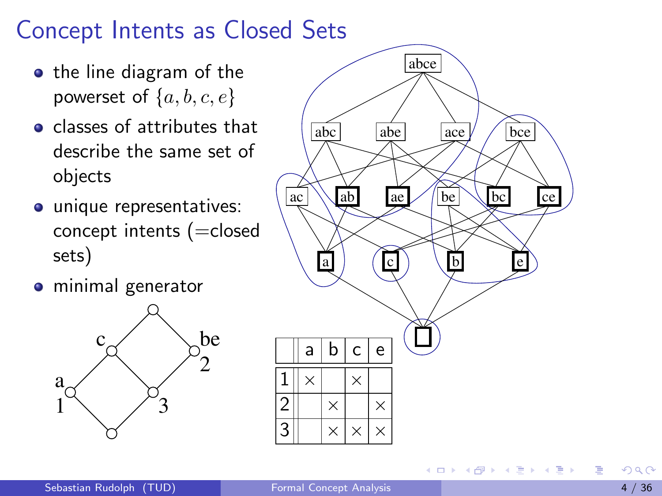# Concept Intents as Closed Sets

- the line diagram of the powerset of  $\{a, b, c, e\}$
- classes of attributes that describe the same set of objects
- **·** unique representatives: concept intents (=closed sets)
- **o** minimal generator





<span id="page-3-0"></span>化重新润滑脂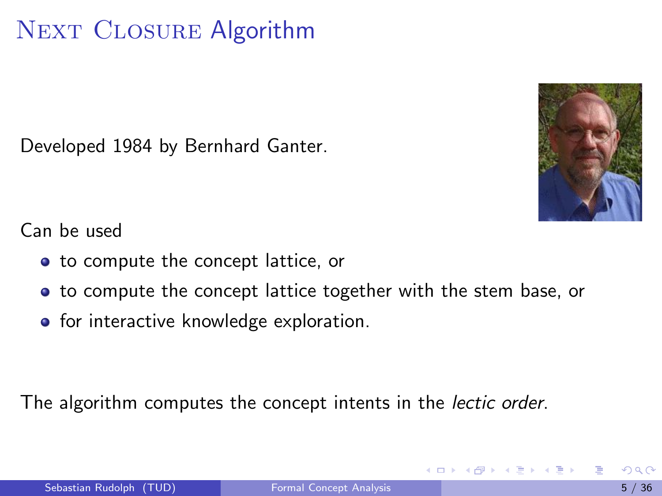# NEXT CLOSURE Algorithm

Developed 1984 by Bernhard Ganter.

<span id="page-4-0"></span>

Can be used

- to compute the concept lattice, or
- to compute the concept lattice together with the stem base, or
- **•** for interactive knowledge exploration.

The algorithm computes the concept intents in the *lectic order*.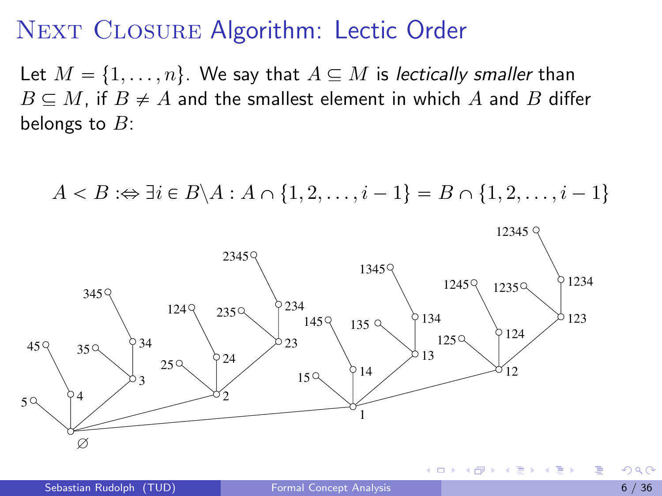#### NEXT CLOSURE Algorithm: Lectic Order

Let  $M = \{1, \ldots, n\}$ . We say that  $A \subseteq M$  is lectically smaller than  $B \subseteq M$ , if  $B \neq A$  and the smallest element in which A and B differ belongs to  $B$ :

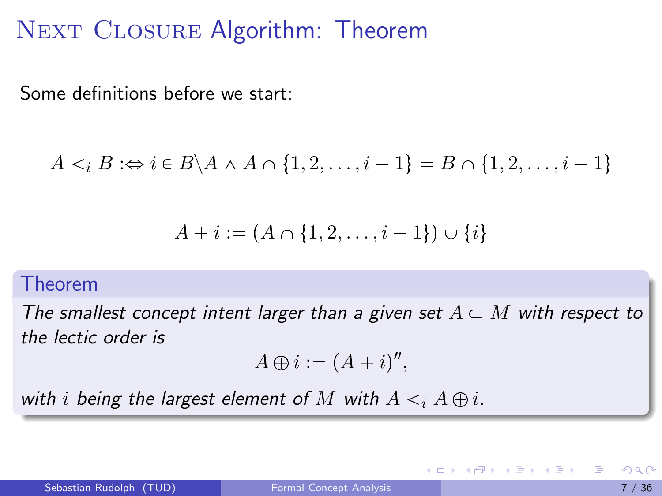## NEXT CLOSURE Algorithm: Theorem

Some definitions before we start:

$$
A \leq_i B \iff i \in B \setminus A \land A \cap \{1, 2, \dots, i - 1\} = B \cap \{1, 2, \dots, i - 1\}
$$

$$
A + i := (A \cap \{1, 2, \dots, i - 1\}) \cup \{i\}
$$

#### Theorem

The smallest concept intent larger than a given set  $A \subset M$  with respect to the lectic order is

$$
A \oplus i := (A + i)^n,
$$

with i being the largest element of M with  $A \leq i A \oplus i$ .

4 0 8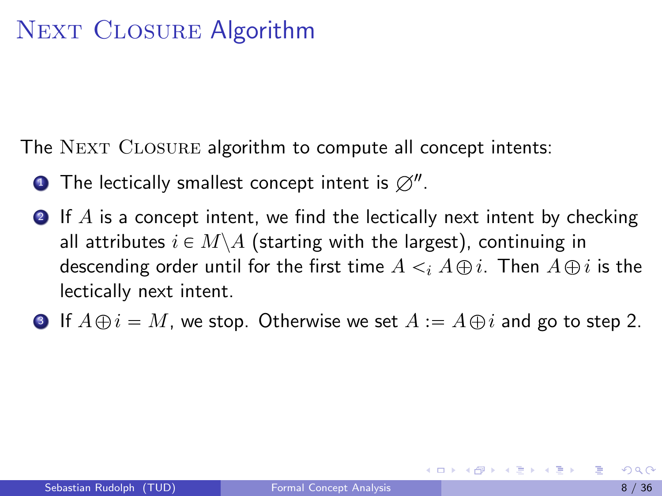# NEXT CLOSURE Algorithm

The NEXT CLOSURE algorithm to compute all concept intents:

- $\bullet$  The lectically smallest concept intent is  $\varnothing''.$
- <span id="page-7-0"></span>**2** If A is a concept intent, we find the lectically next intent by checking all attributes  $i \in M \backslash A$  (starting with the largest), continuing in descending order until for the first time  $A \leq i A \oplus i$ . Then  $A \oplus i$  is the lectically next intent.
- **3** If  $A \oplus i = M$ , we stop. Otherwise we set  $A := A \oplus i$  and go to step [2.](#page-7-0)

イロト イ母 トイヨ トイヨ トー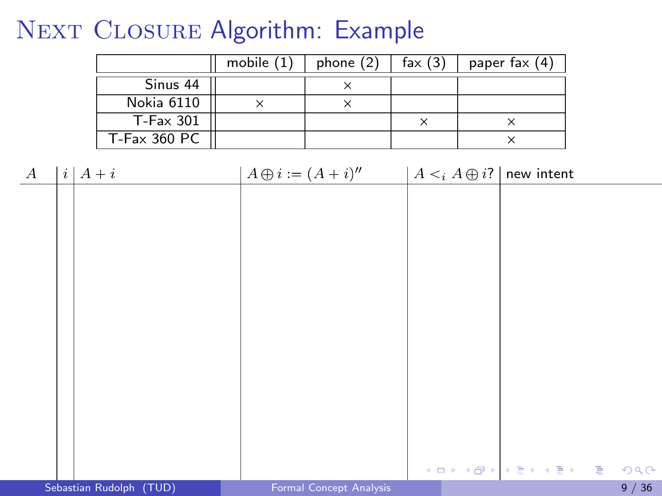# NEXT CLOSURE Algorithm: Example

|                      | mobile $(1)$ | phone $(2)$ | fax $(3)$ | paper fax $(4)$ |
|----------------------|--------------|-------------|-----------|-----------------|
| Sinus 44             |              |             |           |                 |
| Nokia 6110           |              |             |           |                 |
| $T$ -Fa $\times$ 301 |              |             |           |                 |
| $T$ -Fax 360 PC      |              |             |           |                 |

| $\boldsymbol{A}$ | $i \mid A + i$          | $A \oplus i := (A + i)''$ | $A \leq_i A \oplus i$ ?   new intent |                         |      |
|------------------|-------------------------|---------------------------|--------------------------------------|-------------------------|------|
|                  |                         |                           |                                      |                         |      |
|                  |                         |                           |                                      |                         |      |
|                  |                         |                           |                                      |                         |      |
|                  |                         |                           |                                      |                         |      |
|                  |                         |                           |                                      |                         |      |
|                  |                         |                           |                                      |                         |      |
|                  |                         |                           |                                      |                         |      |
|                  |                         |                           |                                      |                         |      |
|                  |                         |                           |                                      |                         |      |
|                  |                         |                           |                                      |                         |      |
|                  |                         |                           |                                      |                         |      |
|                  |                         |                           |                                      |                         |      |
|                  |                         |                           |                                      | イロト イ母ト イミト イミト ニヨー つんぴ |      |
|                  | Sebastian Rudolph (TUD) | Formal Concept Analysis   |                                      |                         | 9/36 |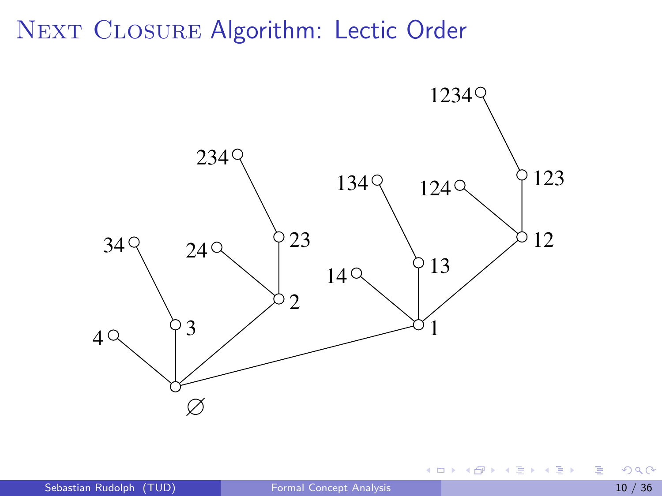#### NEXT CLOSURE Algorithm: Lectic Order



4 日下

Þ

ヨメ メヨメ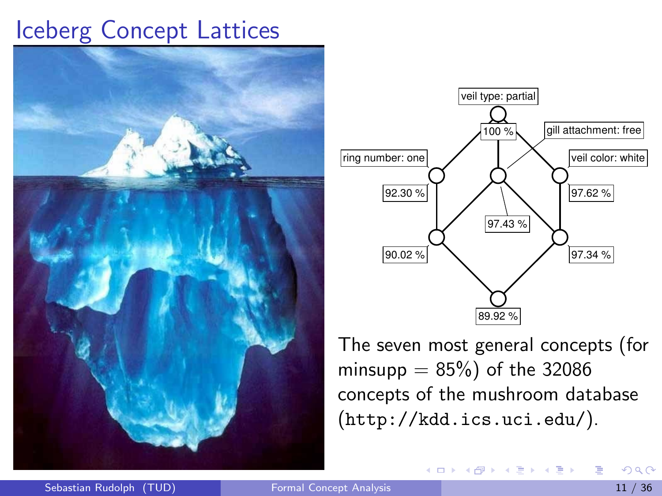



The seven most general concepts (for minsupp  $= 85\%$ ) of the 32086 concepts of the mushroom database (<http://kdd.ics.uci.edu/>).

<span id="page-10-0"></span>イロト イ押ト イヨト イヨト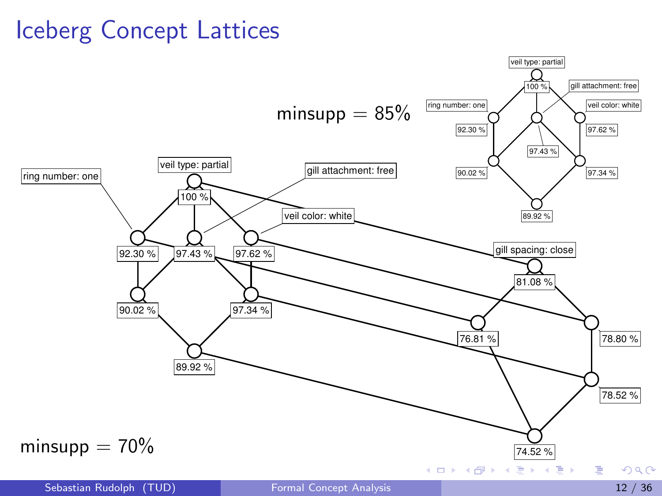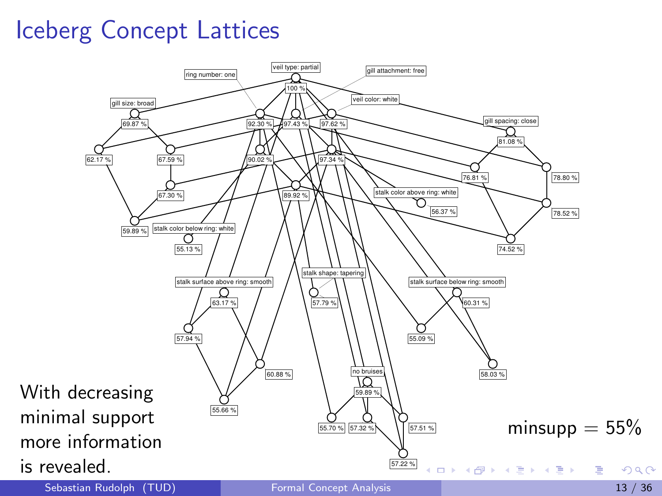

Sebastian Rudolph (TUD) [Formal Concept Analysis](#page-0-0) 13 / 36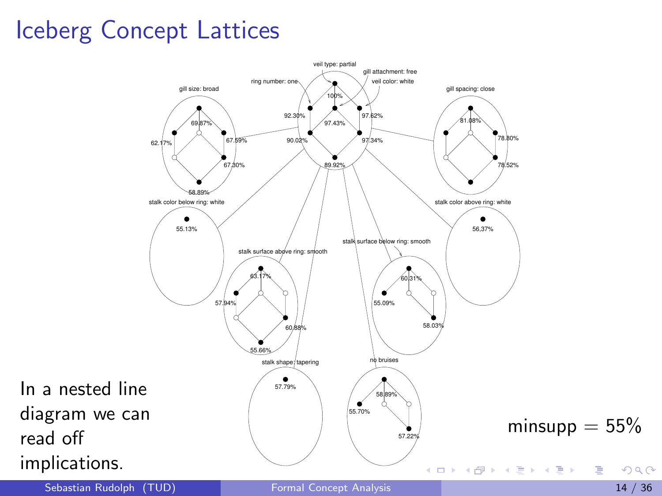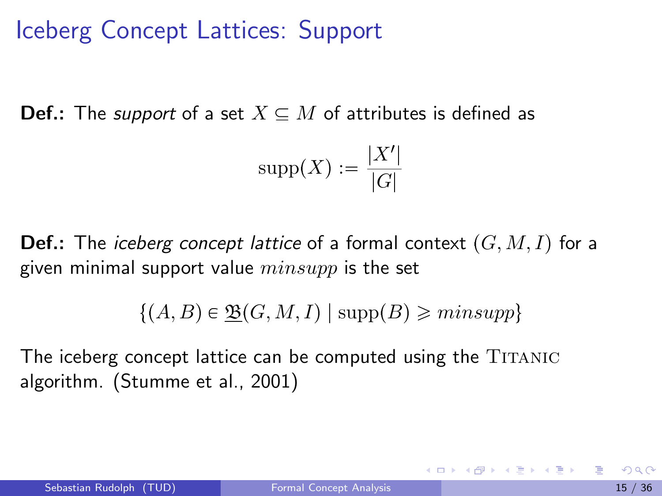# Iceberg Concept Lattices: Support

**Def.:** The *support* of a set  $X \subseteq M$  of attributes is defined as

$$
\mathrm{supp}(X):=\frac{|X'|}{|G|}
$$

**Def.:** The *iceberg concept lattice* of a formal context  $(G, M, I)$  for a given minimal support value  $minsupp$  is the set

 $\{(A, B) \in \mathfrak{B}(G, M, I) \mid \text{supp}(B) \geq minsupp\}$ 

The iceberg concept lattice can be computed using the TITANIC algorithm. (Stumme et al., 2001)

イロト イ母 トイヨ トイヨ トー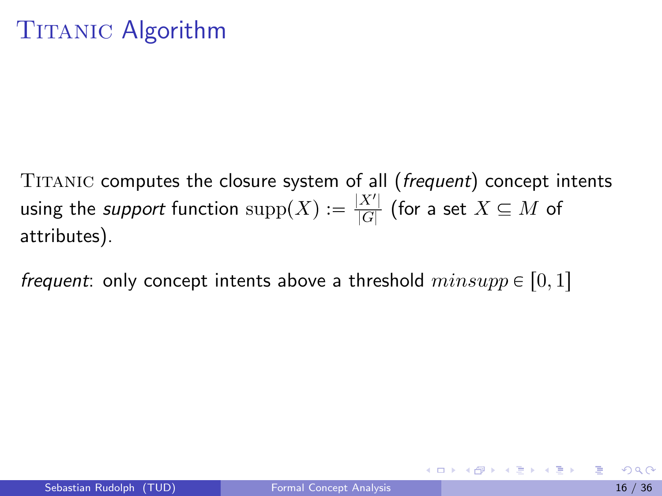TITANIC computes the closure system of all (frequent) concept intents using the *support* function  $\text{supp}(X) := \frac{|X'|}{|G|}$  $\frac{A}{|G|}$  (for a set  $X\subseteq M$  of attributes).

*frequent*: only concept intents above a threshold  $minsupp \in [0, 1]$ 

<span id="page-15-0"></span>イロト イ母 トイヨ トイヨ トー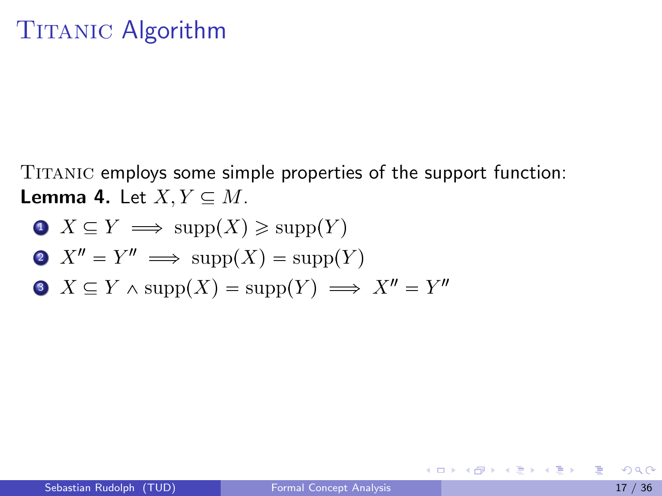Titanic employs some simple properties of the support function: **Lemma 4.** Let  $X, Y \subseteq M$ .

\n- $$
X \subseteq Y \implies \text{supp}(X) \ge \text{supp}(Y)
$$
\n- $X'' = Y'' \implies \text{supp}(X) = \text{supp}(Y)$
\n- $X \subseteq Y \land \text{supp}(X) = \text{supp}(Y) \implies X'' = Y''$
\n

画

K ロ ⊁ K 個 ≯ K 君 ⊁ K 君 ≯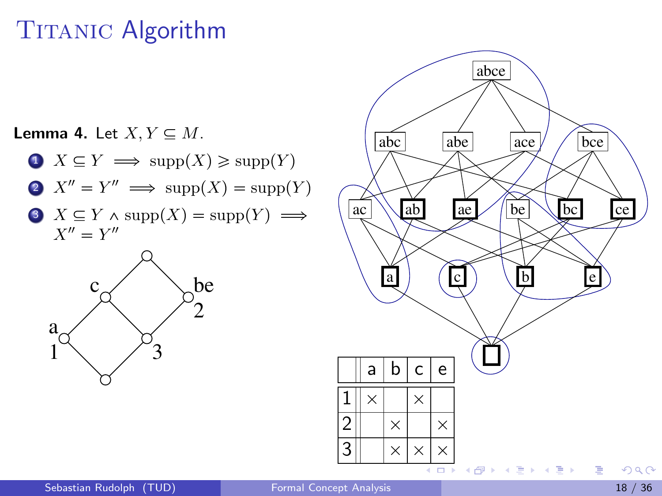**Lemma 4.** Let  $X, Y \subseteq M$ .

- $\bigcirc X \subseteq Y \implies \text{supp}(X) \geq \text{supp}(Y)$ 2  $X'' = Y'' \implies \text{supp}(X) = \text{supp}(Y)$
- $\bullet$   $X \subseteq Y \land \text{supp}(X) = \text{supp}(Y) \implies$  $X'' = Y''$



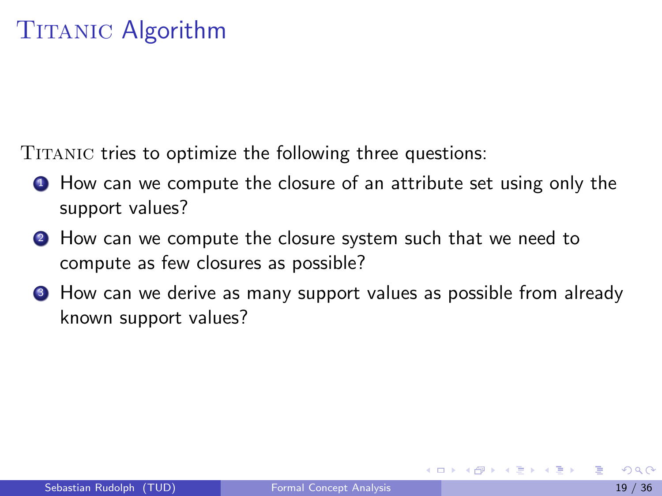TITANIC tries to optimize the following three questions:

- **1** How can we compute the closure of an attribute set using only the support values?
- **2** How can we compute the closure system such that we need to compute as few closures as possible?
- **3** How can we derive as many support values as possible from already known support values?

医单位 医单位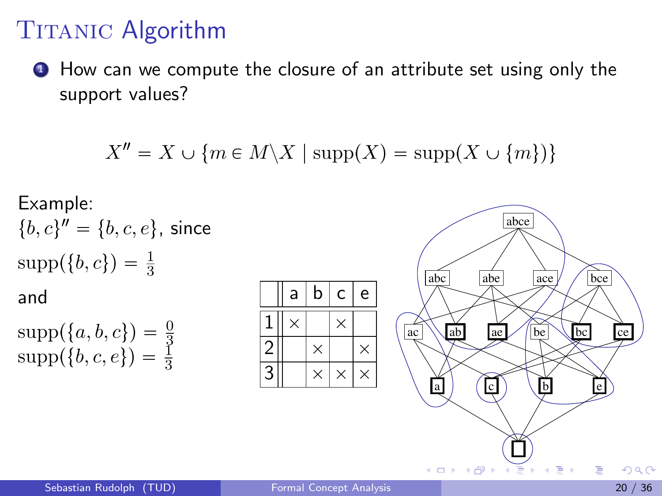**1** How can we compute the closure of an attribute set using only the support values?

$$
X'' = X \cup \{ m \in M \setminus X \mid \mathrm{supp}(X) = \mathrm{supp}(X \cup \{ m \}) \}
$$

Example:  
\n
$$
\{b, c\}'' = \{b, c, e\}, \text{ since}
$$
\n
$$
\text{supp}(\{b, c\}) = \frac{1}{3}
$$
\nand\n
$$
\text{supp}(\{a, b, c\}) = \frac{0}{3}
$$
\n
$$
\text{supp}(\{b, c, e\}) = \frac{1}{3}
$$

|                | a | $\mathsf b$ | с        | e |
|----------------|---|-------------|----------|---|
|                | × |             | ×        |   |
| $\overline{c}$ |   | ×           |          | X |
| q              |   | X           | $\times$ | × |

<span id="page-19-0"></span>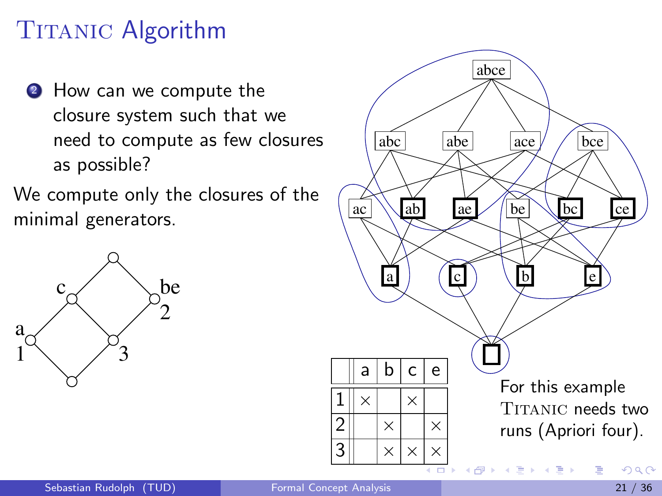- **2** How can we compute the closure system such that we need to compute as few closures as possible?
- We compute only the closures of the minimal generators.



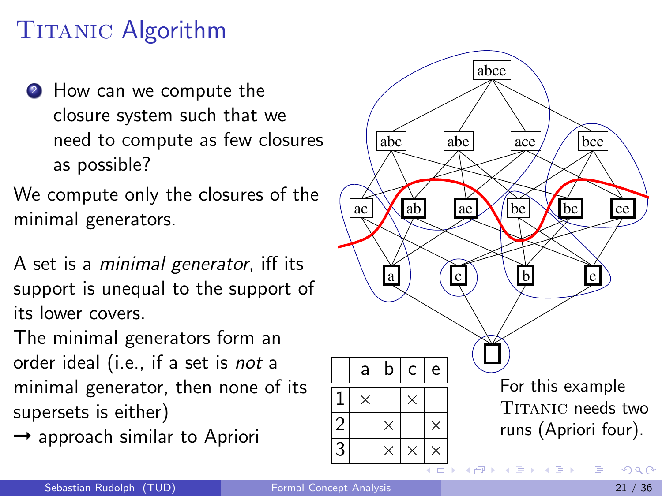- **2** How can we compute the closure system such that we need to compute as few closures as possible?
- We compute only the closures of the minimal generators.
- A set is a minimal generator, iff its support is unequal to the support of its lower covers.
- The minimal generators form an order ideal (i.e., if a set is not a minimal generator, then none of its supersets is either)
- $\rightarrow$  approach similar to Apriori

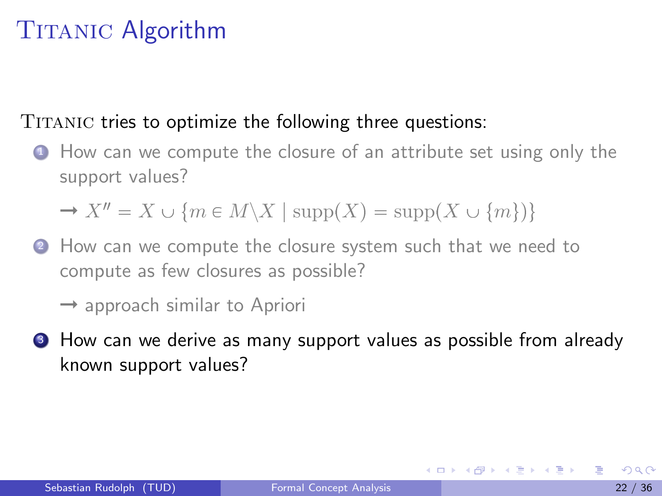#### TITANIC tries to optimize the following three questions:

**1** How can we compute the closure of an attribute set using only the support values?

 $\rightarrow X'' = X \cup \{m \in M \setminus X \mid \text{supp}(X) = \text{supp}(X \cup \{m\})\}$ 

2 How can we compute the closure system such that we need to compute as few closures as possible?

 $\rightarrow$  approach similar to Apriori

**3** How can we derive as many support values as possible from already known support values?

KONKAPIK KENYEN E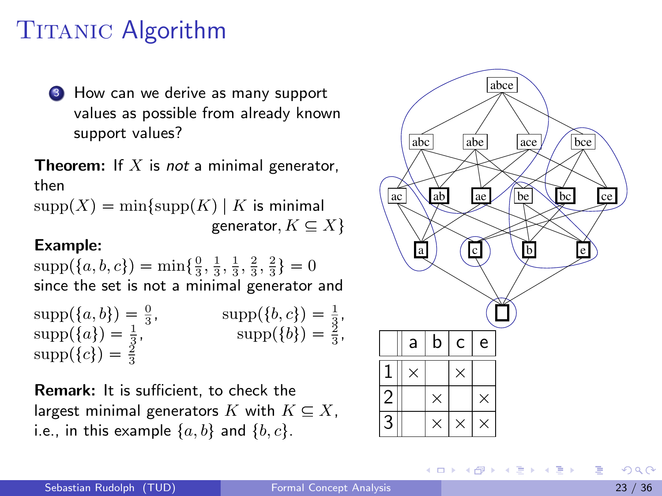**3** How can we derive as many support values as possible from already known support values?

**Theorem:** If  $X$  is not a minimal generator, then

 $supp(X) = min\{supp(K) | K$  is minimal generator,  $K \subseteq X$ 

#### Example:

 $\text{supp}(\{a, b, c\}) = \min\{\frac{0}{3}, \frac{1}{3}, \frac{1}{3}, \frac{2}{3}, \frac{2}{3}\} = 0$ since the set is not a minimal generator and

 $\text{supp}(\{a, b\}) = \frac{0}{3}, \quad \text{supp}(\{b, c\}) = \frac{1}{3},$  $\text{supp}(\{a\}) = \frac{1}{3},$   $\text{supp}(\{b\}) = \frac{2}{3},$  $supp({c}) = \frac{2}{3}$ 

Remark: It is sufficient, to check the largest minimal generators K with  $K \subseteq X$ , i.e., in this example  $\{a, b\}$  and  $\{b, c\}$ .



イロメ イ部メ イヨメ イヨメー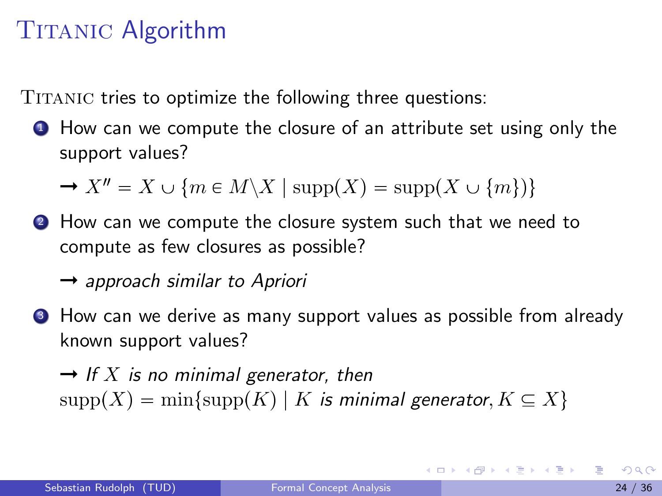TITANIC tries to optimize the following three questions:

**1** How can we compute the closure of an attribute set using only the support values?

 $\rightarrow X'' = X \cup \{m \in M \setminus X \mid \text{supp}(X) = \text{supp}(X \cup \{m\})\}$ 

**2** How can we compute the closure system such that we need to compute as few closures as possible?

 $\rightarrow$  approach similar to Apriori

**3** How can we derive as many support values as possible from already known support values?

 $\rightarrow$  If X is no minimal generator, then  $supp(X) = min\{supp(K) | K$  is minimal generator,  $K \subseteq X\}$ 

KONKAPIK KENYEN E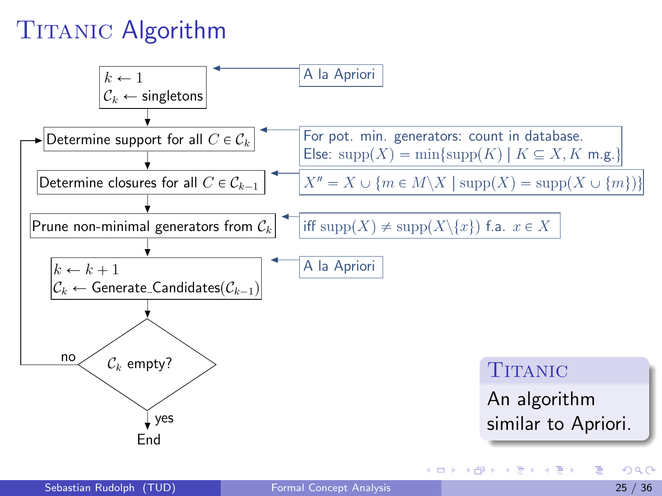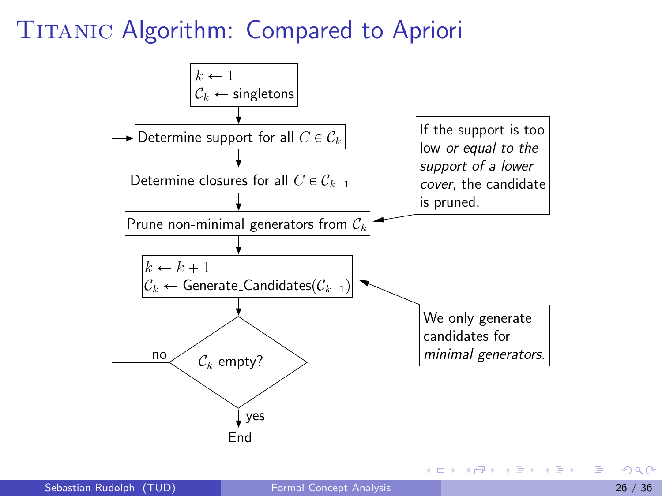#### TITANIC Algorithm: Compared to Apriori



イロト イ母 トイヨ トイヨ トー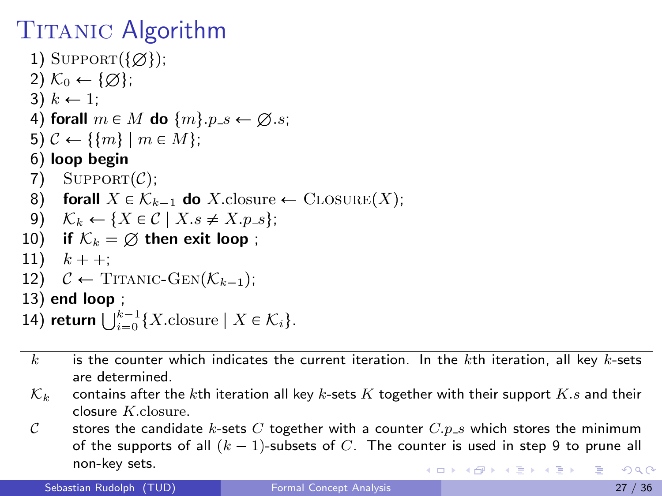1) SUPPORT $({\emptyset})$ ; 2)  $\mathcal{K}_0 \leftarrow \{\emptyset\};$ 3)  $k \leftarrow 1$ ; 4) forall  $m \in M$  do  $\{m\}.p_{\mathcal{S}} \leftarrow \emptyset$ .s; 5)  $C \leftarrow \{\{m\} \mid m \in M\};$ 6) loop begin 7) SUPPORT $(\mathcal{C})$ ; 8) forall  $X \in \mathcal{K}_{k-1}$  do X.closure  $\leftarrow$  CLOSURE $(X)$ ; 9)  $\mathcal{K}_k \leftarrow \{ X \in \mathcal{C} \mid X.s \neq X.p.s \};$ 10) if  $\mathcal{K}_k = \emptyset$  then exit loop; 11)  $k + +$ : 12)  $C \leftarrow \text{TTANIC-GEN}(\mathcal{K}_{k-1})$ ; 13) end loop ; 14) return  $\bigcup_{i=0}^{k-1} \{X.\text{closure} \mid X \in \mathcal{K}_i\}.$ 

- $k$  is the counter which indicates the current iteration. In the kth iteration, all key k-sets are determined.
- $\mathcal{K}_k$  contains after the kth iteration all key k-sets K together with their support K.s and their closure K.closure.
- C stores the candidate k-sets C together with a counter  $C.p.s$  which stores the minimum of the supports of all  $(k - 1)$ -subsets of C. The counter is used in step 9 to prune all non-key sets. **KOD KARD KED KED B YOUR**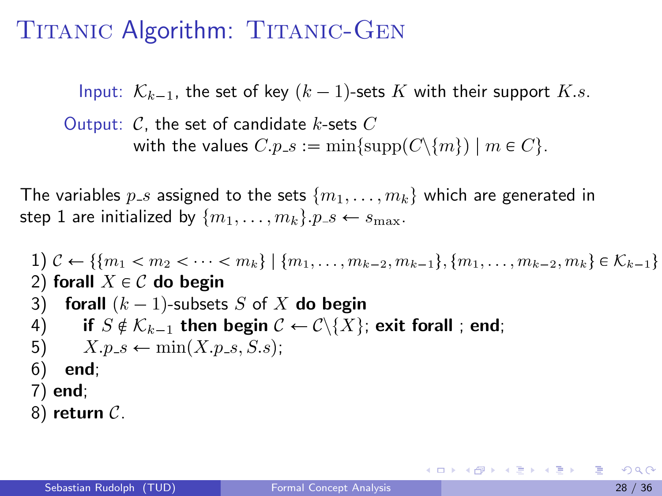#### TITANIC Algorithm: TITANIC-GEN

Input:  $\mathcal{K}_{k-1}$ , the set of key  $(k-1)$ -sets K with their support K.s.

Output:  $C$ , the set of candidate k-sets  $C$ with the values  $C.p.s := \min\{\text{supp}(C\setminus\{m\}) \mid m \in C\}.$ 

The variables  $p_{-s}$  assigned to the sets  $\{m_1, \ldots, m_k\}$  which are generated in step 1 are initialized by  $\{m_1, \ldots, m_k\}$ .  $p_s \leftarrow s_{\text{max}}$ .

1) 
$$
\mathcal{C} \leftarrow \{\{m_1 < m_2 < \cdots < m_k\} \mid \{m_1, \ldots, m_{k-2}, m_{k-1}\}, \{m_1, \ldots, m_{k-2}, m_k\} \in \mathcal{K}_{k-1}\}
$$
\n2) **forall**  $X \in \mathcal{C}$  **do begin**\n3) **forall**  $(k-1)$ -subsets  $S$  of  $X$  **do begin**\n4) if  $S \notin \mathcal{K}_{k-1}$  then begin  $\mathcal{C} \leftarrow \mathcal{C} \setminus \{X\}$ ; **exit forall**; **end**; \n5)  $X.p.s \leftarrow \min(X.p.s, S.s)$ ;\n6) **end**;\n7) **end**;

8) return  $C$ .

イロト イ母 トイヨ トイヨ トー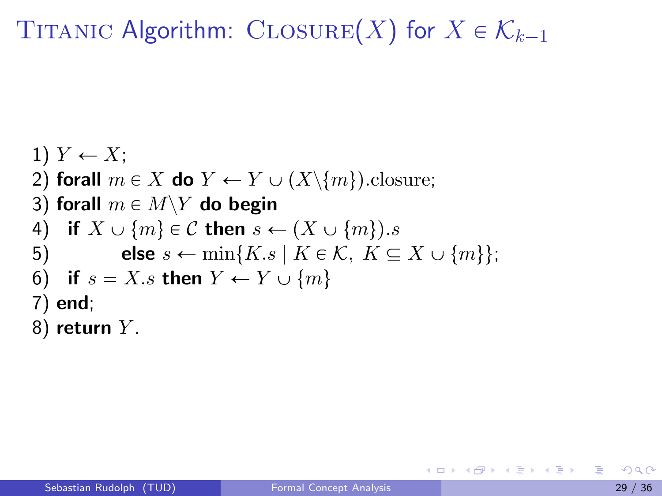# TITANIC Algorithm: CLOSURE(X) for  $X \in \mathcal{K}_{k-1}$

1) 
$$
Y \leftarrow X
$$
;  
\n2) **forall**  $m \in X$  **do**  $Y \leftarrow Y \cup (X \setminus \{m\})$ .  
\n3) **forall**  $m \in M \setminus Y$  **do begin**  
\n4) **if**  $X \cup \{m\} \in \mathcal{C}$  **then**  $s \leftarrow (X \cup \{m\})$ .  
\n5) **else**  $s \leftarrow \min\{K.s \mid K \in \mathcal{K}, K \subseteq X \cup \{m\}\}$ ;  
\n6) **if**  $s = X.s$  **then**  $Y \leftarrow Y \cup \{m\}$   
\n7) **end**;  
\n8) **return**  $Y$ .

画

イロト イ部 ト イヨ ト イヨ トー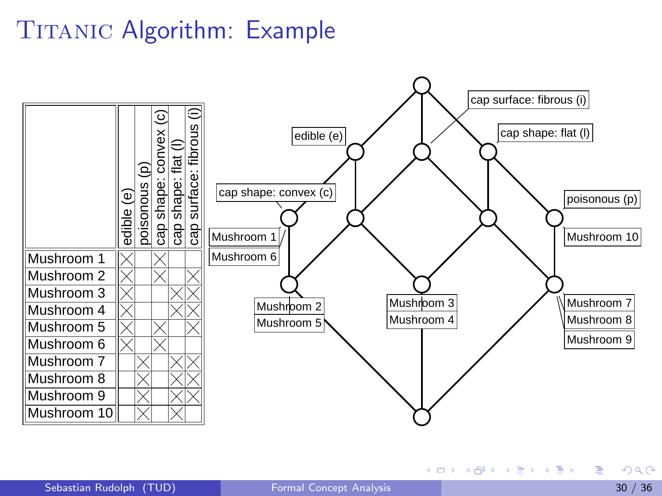

K ロ ▶ K 個 ▶ K 경 ▶ K 경 ▶ X 경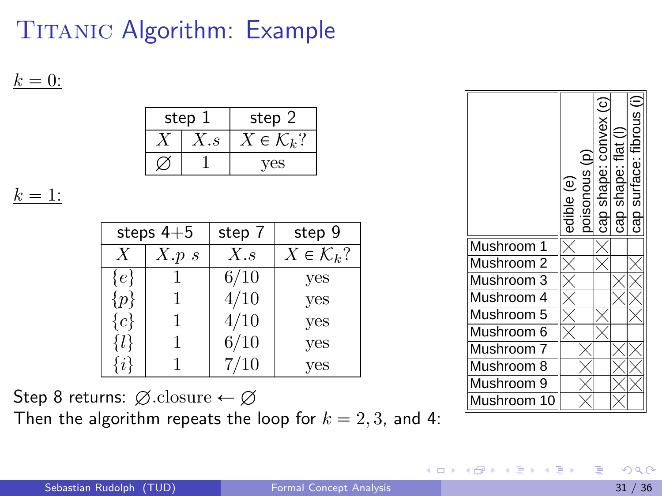$k = 0$ :

|   | step 1 | step 2                |  |  |
|---|--------|-----------------------|--|--|
| S |        | $\in \mathcal{K}_k$ ? |  |  |
|   |        | ΈS.                   |  |  |

 $k = 1$ :

| steps $4+5$      |       | step 7 | step 9                  |
|------------------|-------|--------|-------------------------|
| $\boldsymbol{X}$ | X.p.s | X.s    | $X \in \mathcal{K}_k$ ? |
| $\{e\}$          |       | 6/10   | yes                     |
| $\{p\}$          | 1     | 4/10   | yes                     |
| $\{c\}$          | 1     | 4/10   | yes                     |
| $\{l\}$          | 1     | 6/10   | yes                     |
| {i               |       | 7/10   | yes                     |

Step 8 returns:  $\emptyset$ .closure  $\leftarrow \emptyset$ Then the algorithm repeats the loop for  $k = 2, 3$ , and 4:

|                | $\overline{\mathbf{e}}$<br>edible | ol suonosioc | cap shape: convex (c) | cap shape: flat | cap surface: fibrous |
|----------------|-----------------------------------|--------------|-----------------------|-----------------|----------------------|
| Mushroom       |                                   |              |                       |                 |                      |
| Mushroom 2     |                                   |              |                       |                 |                      |
| Mushroom 3     |                                   |              |                       |                 |                      |
| Mushroom 4     |                                   |              |                       |                 |                      |
| Mushroom 5     |                                   |              |                       |                 |                      |
| Mushroom 6     |                                   |              |                       |                 |                      |
| Mushroom 7     |                                   |              |                       |                 |                      |
| Mushroom 8     |                                   |              |                       |                 |                      |
| Mushroom 9     |                                   |              |                       |                 |                      |
| Mushroom<br>10 |                                   |              |                       |                 |                      |

<span id="page-31-0"></span> $A \oplus B$   $A \oplus B$   $A \oplus B$ 

4 0 8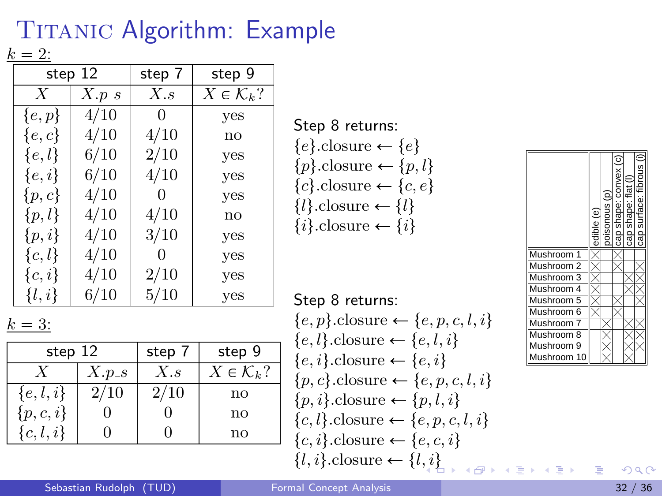$k = 2$ :

|                  | step 12 | step 7   | step 9                  |
|------------------|---------|----------|-------------------------|
|                  |         |          |                         |
| $\boldsymbol{X}$ | $X.p_s$ | X.s      | $X \in \mathcal{K}_k$ ? |
| $\{e, p\}$       | 4/10    | $\theta$ | yes                     |
| $\{e,c\}$        | 4/10    | 4/10     | no                      |
| $\{e,l\}$        | 6/10    | 2/10     | yes                     |
| $\{e,i\}$        | 6/10    | 4/10     | yes                     |
| $\{p,c\}$        | 4/10    | $\Omega$ | yes                     |
| $\{p,l\}$        | 4/10    | 4/10     | no                      |
| $\{p,i\}$        | 4/10    | 3/10     | yes                     |
| $\{c,l\}$        | 4/10    | $\theta$ | yes                     |
| $\{c,i\}$        | 4/10    | 2/10     | yes                     |
| $\{l,i\}$        | 6/10    | 5/10     | yes                     |

#### $k = 3$ :

| step 12     |         | step 7   | step 9                  |
|-------------|---------|----------|-------------------------|
|             | $X.p_s$ | $X_{.S}$ | $X \in \mathcal{K}_k$ ? |
| $\{e,l,i\}$ | 2/10    | 2/10     | $\mathbf{n}\mathbf{o}$  |
| $\{p,c,i\}$ |         |          | $\mathbf{n}\mathbf{o}$  |
| $\{c,l,i\}$ |         |          | $\mathop{\mathrm{no}}$  |

Step 8 returns:

| $\{e\}$ .closure $\leftarrow \{e\}$    |
|----------------------------------------|
| $\{p\}$ .closure $\leftarrow \{p, l\}$ |
| ${c}$ .closure $\leftarrow$ ${c, e}$   |
| $\{l\}$ .closure $\leftarrow \{l\}$    |
| $\{i\}$ .closure $\leftarrow \{i\}$    |

Step 8 returns:

|                                                     | Mushroom                                                        |
|-----------------------------------------------------|-----------------------------------------------------------------|
| $\{e, p\}$ .closure $\leftarrow \{e, p, c, l, i\}$  | Mushroom                                                        |
| $\{e, l\}$ .closure $\leftarrow \{e, l, i\}$        | iushroom                                                        |
|                                                     | lushroom                                                        |
| $\{e, i\}$ .closure $\leftarrow \{e, i\}$           | Mushroom                                                        |
| $\{p, c\}$ . closure $\leftarrow \{e, p, c, l, i\}$ |                                                                 |
| $\{p, i\}$ .closure $\leftarrow \{p, l, i\}$        |                                                                 |
| $\{c, l\}$ .closure $\leftarrow \{e, p, c, l, i\}$  |                                                                 |
| $\{c, i\}$ .closure $\leftarrow \{e, c, i\}$        |                                                                 |
| $\{l, i\}$ .closure $\leftarrow \{l, i\}$           | $\rightarrow$ 4 $\equiv$ $\rightarrow$ 4 $\equiv$ $\rightarrow$ |

|            | edible (e) | ousonous (p) | cap shape: convex (c) | Ξ<br>$\frac{1}{6}$<br>shape:<br>සි | fibrous<br>cap surface: |
|------------|------------|--------------|-----------------------|------------------------------------|-------------------------|
| Mushroom 1 |            |              |                       |                                    |                         |
| Mushroom 2 |            |              |                       |                                    |                         |
| Mushroom 3 |            |              |                       |                                    |                         |
| Mushroom 4 |            |              |                       |                                    |                         |
| Mushroom 5 |            |              |                       |                                    |                         |
| Mushroom 6 |            |              |                       |                                    |                         |
| Mushroom 7 |            |              |                       |                                    |                         |
| Mushroom 8 |            |              |                       |                                    |                         |
| Mushroom 9 |            |              |                       |                                    |                         |
| Mushroom   |            |              |                       |                                    |                         |

画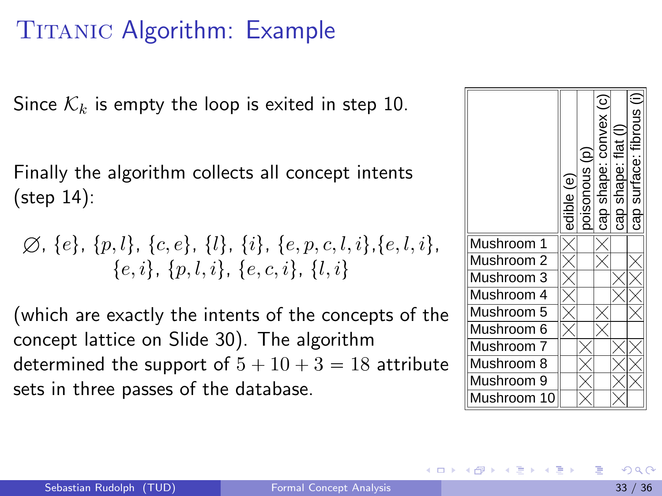Since  $\mathcal{K}_k$  is empty the loop is exited in step 10.

Finally the algorithm collects all concept intents (step 14):

$$
\varnothing, \{e\}, \{p,l\}, \{c,e\}, \{l\}, \{i\}, \{e,p,c,l,i\}, \{e,l,i\}, \{e,i\}, \{p,l,i\}, \{e,c,i\}, \{l,i\}
$$

(which are exactly the intents of the concepts of the concept lattice on Slide 30). The algorithm determined the support of  $5 + 10 + 3 = 18$  attribute sets in three passes of the database.



イロト イ母 トイヨ トイヨト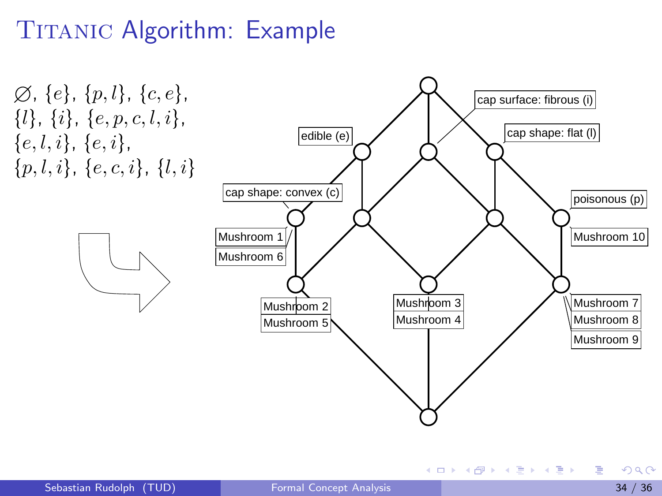$\emptyset$ , {e}, {p, l}, {c, e},  $\{l\}, \{i\}, \{e, p, c, l, i\},\$  ${e, l, i}, {e, i},$  $\{p, l, i\}, \{e, c, i\}, \{l, i\}$ edible (e)  $\Box$ cap shape: convex (c)  $\Box$ cap shape: flat (l) cap surface: fibrous (i) Mushroom 1 Mushroom 2 Mushroom 3<br>Mushroom 5 Mushroom 5 Mushroom 6 Mushroom 7 Mushroom 8 Mushroom 9 Mushroom 10

÷

イロメ イ部メ イヨメ イヨメー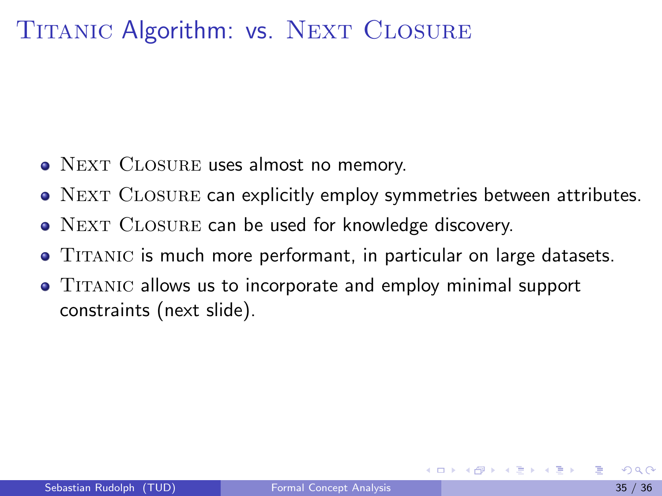#### TITANIC Algorithm: vs. NEXT CLOSURE

- NEXT CLOSURE uses almost no memory.
- NEXT CLOSURE can explicitly employ symmetries between attributes.
- NEXT CLOSURE can be used for knowledge discovery.
- TITANIC is much more performant, in particular on large datasets.
- TITANIC allows us to incorporate and employ minimal support constraints (next slide).